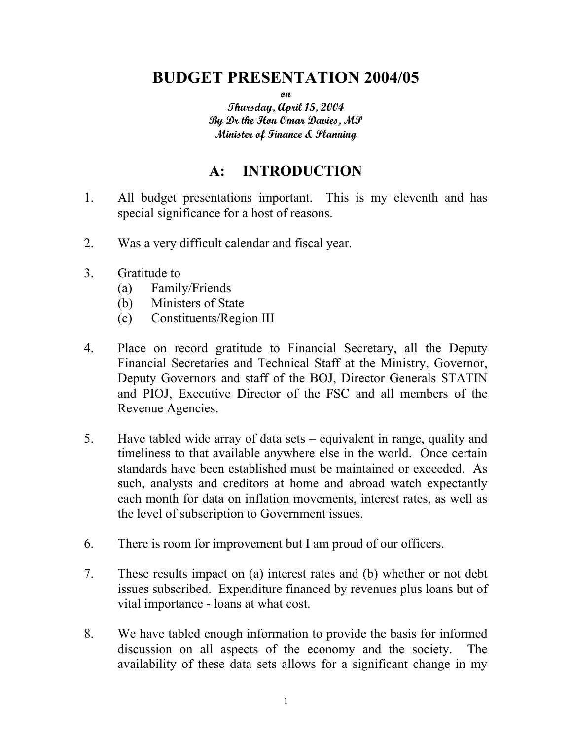# **BUDGET PRESENTATION 2004/05**

**on** 

**Thursday, April 15, 2004 By Dr the Hon Omar Davies, MP Minister of Finance & Planning** 

## **A: INTRODUCTION**

- 1. All budget presentations important. This is my eleventh and has special significance for a host of reasons.
- 2. Was a very difficult calendar and fiscal year.
- 3. Gratitude to
	- (a) Family/Friends
	- (b) Ministers of State
	- (c) Constituents/Region III
- 4. Place on record gratitude to Financial Secretary, all the Deputy Financial Secretaries and Technical Staff at the Ministry, Governor, Deputy Governors and staff of the BOJ, Director Generals STATIN and PIOJ, Executive Director of the FSC and all members of the Revenue Agencies.
- 5. Have tabled wide array of data sets equivalent in range, quality and timeliness to that available anywhere else in the world. Once certain standards have been established must be maintained or exceeded. As such, analysts and creditors at home and abroad watch expectantly each month for data on inflation movements, interest rates, as well as the level of subscription to Government issues.
- 6. There is room for improvement but I am proud of our officers.
- 7. These results impact on (a) interest rates and (b) whether or not debt issues subscribed. Expenditure financed by revenues plus loans but of vital importance - loans at what cost.
- 8. We have tabled enough information to provide the basis for informed discussion on all aspects of the economy and the society. The availability of these data sets allows for a significant change in my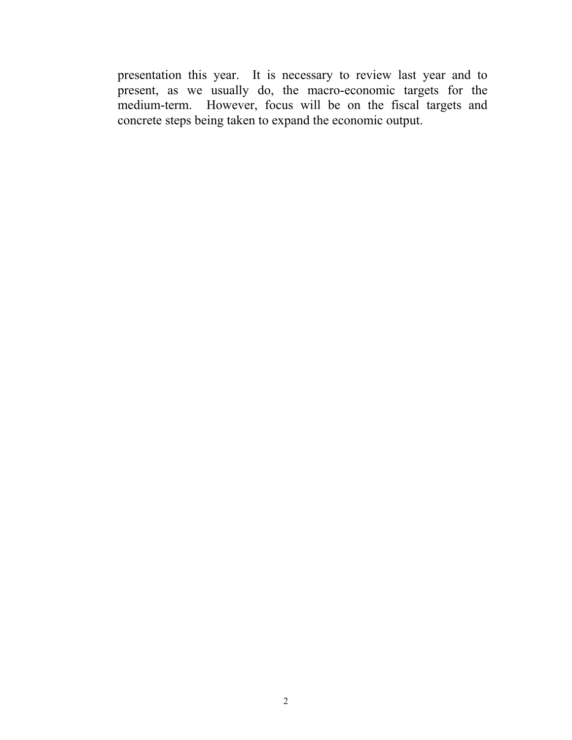presentation this year. It is necessary to review last year and to present, as we usually do, the macro-economic targets for the medium-term. However, focus will be on the fiscal targets and concrete steps being taken to expand the economic output.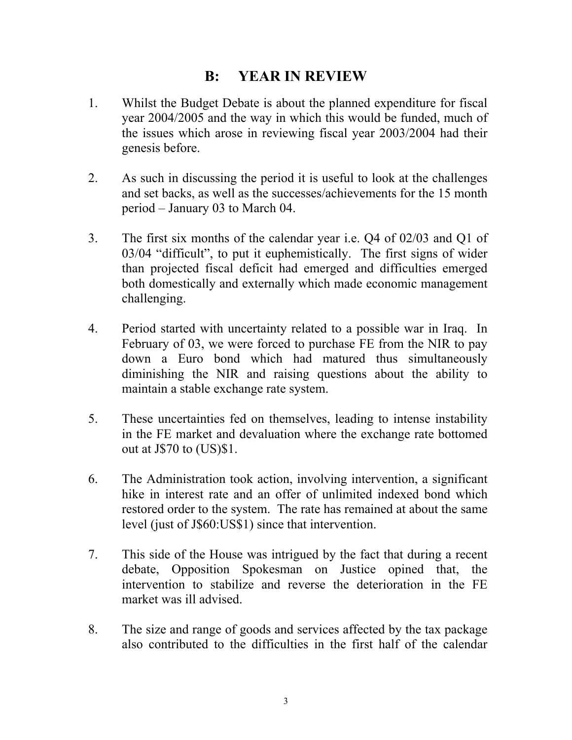### **B: YEAR IN REVIEW**

- 1. Whilst the Budget Debate is about the planned expenditure for fiscal year 2004/2005 and the way in which this would be funded, much of the issues which arose in reviewing fiscal year 2003/2004 had their genesis before.
- 2. As such in discussing the period it is useful to look at the challenges and set backs, as well as the successes/achievements for the 15 month period – January 03 to March 04.
- 3. The first six months of the calendar year i.e. Q4 of 02/03 and Q1 of 03/04 "difficult", to put it euphemistically. The first signs of wider than projected fiscal deficit had emerged and difficulties emerged both domestically and externally which made economic management challenging.
- 4. Period started with uncertainty related to a possible war in Iraq. In February of 03, we were forced to purchase FE from the NIR to pay down a Euro bond which had matured thus simultaneously diminishing the NIR and raising questions about the ability to maintain a stable exchange rate system.
- 5. These uncertainties fed on themselves, leading to intense instability in the FE market and devaluation where the exchange rate bottomed out at J\$70 to (US)\$1.
- 6. The Administration took action, involving intervention, a significant hike in interest rate and an offer of unlimited indexed bond which restored order to the system. The rate has remained at about the same level (just of J\$60:US\$1) since that intervention.
- 7. This side of the House was intrigued by the fact that during a recent debate, Opposition Spokesman on Justice opined that, the intervention to stabilize and reverse the deterioration in the FE market was ill advised.
- 8. The size and range of goods and services affected by the tax package also contributed to the difficulties in the first half of the calendar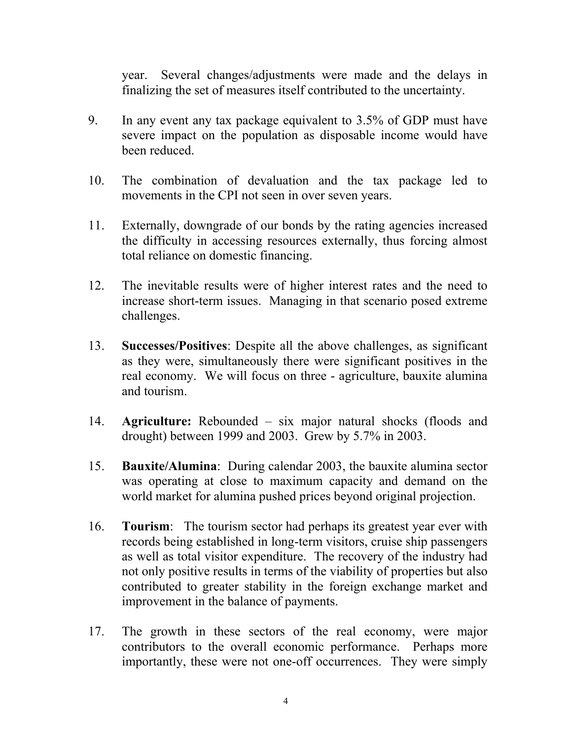year. Several changes/adjustments were made and the delays in finalizing the set of measures itself contributed to the uncertainty.

- 9. In any event any tax package equivalent to 3.5% of GDP must have severe impact on the population as disposable income would have been reduced.
- 10. The combination of devaluation and the tax package led to movements in the CPI not seen in over seven years.
- 11. Externally, downgrade of our bonds by the rating agencies increased the difficulty in accessing resources externally, thus forcing almost total reliance on domestic financing.
- 12. The inevitable results were of higher interest rates and the need to increase short-term issues. Managing in that scenario posed extreme challenges.
- 13. **Successes/Positives**: Despite all the above challenges, as significant as they were, simultaneously there were significant positives in the real economy. We will focus on three - agriculture, bauxite alumina and tourism.
- 14. **Agriculture:** Rebounded six major natural shocks (floods and drought) between 1999 and 2003. Grew by 5.7% in 2003.
- 15. **Bauxite/Alumina**: During calendar 2003, the bauxite alumina sector was operating at close to maximum capacity and demand on the world market for alumina pushed prices beyond original projection.
- 16. **Tourism**: The tourism sector had perhaps its greatest year ever with records being established in long-term visitors, cruise ship passengers as well as total visitor expenditure. The recovery of the industry had not only positive results in terms of the viability of properties but also contributed to greater stability in the foreign exchange market and improvement in the balance of payments.
- 17. The growth in these sectors of the real economy, were major contributors to the overall economic performance. Perhaps more importantly, these were not one-off occurrences. They were simply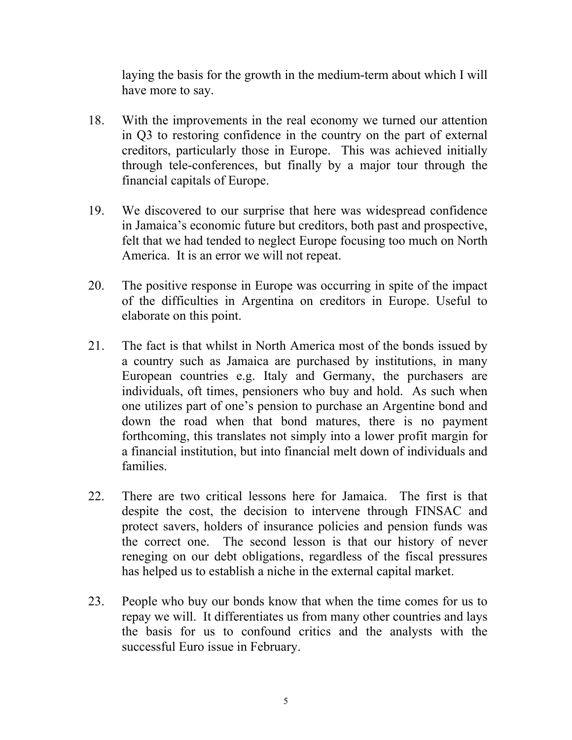laying the basis for the growth in the medium-term about which I will have more to say.

- 18. With the improvements in the real economy we turned our attention in Q3 to restoring confidence in the country on the part of external creditors, particularly those in Europe. This was achieved initially through tele-conferences, but finally by a major tour through the financial capitals of Europe.
- 19. We discovered to our surprise that here was widespread confidence in Jamaica's economic future but creditors, both past and prospective, felt that we had tended to neglect Europe focusing too much on North America. It is an error we will not repeat.
- 20. The positive response in Europe was occurring in spite of the impact of the difficulties in Argentina on creditors in Europe. Useful to elaborate on this point.
- 21. The fact is that whilst in North America most of the bonds issued by a country such as Jamaica are purchased by institutions, in many European countries e.g. Italy and Germany, the purchasers are individuals, oft times, pensioners who buy and hold. As such when one utilizes part of one's pension to purchase an Argentine bond and down the road when that bond matures, there is no payment forthcoming, this translates not simply into a lower profit margin for a financial institution, but into financial melt down of individuals and families.
- 22. There are two critical lessons here for Jamaica. The first is that despite the cost, the decision to intervene through FINSAC and protect savers, holders of insurance policies and pension funds was the correct one. The second lesson is that our history of never reneging on our debt obligations, regardless of the fiscal pressures has helped us to establish a niche in the external capital market.
- 23. People who buy our bonds know that when the time comes for us to repay we will. It differentiates us from many other countries and lays the basis for us to confound critics and the analysts with the successful Euro issue in February.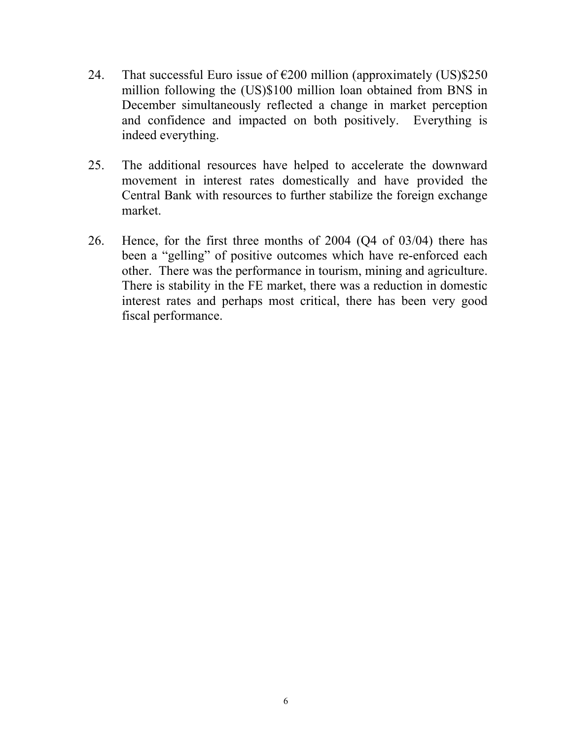- 24. That successful Euro issue of  $\epsilon$ 200 million (approximately (US)\$250 million following the (US)\$100 million loan obtained from BNS in December simultaneously reflected a change in market perception and confidence and impacted on both positively. Everything is indeed everything.
- 25. The additional resources have helped to accelerate the downward movement in interest rates domestically and have provided the Central Bank with resources to further stabilize the foreign exchange market.
- 26. Hence, for the first three months of 2004 (Q4 of 03/04) there has been a "gelling" of positive outcomes which have re-enforced each other. There was the performance in tourism, mining and agriculture. There is stability in the FE market, there was a reduction in domestic interest rates and perhaps most critical, there has been very good fiscal performance.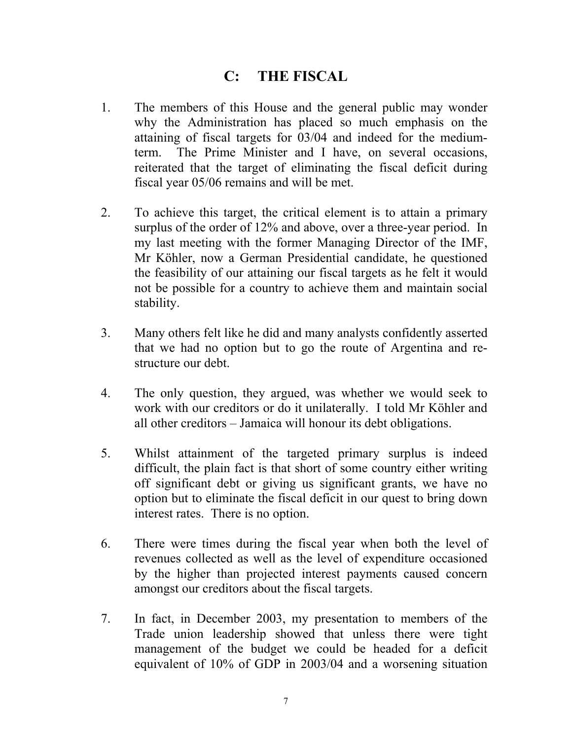### **C: THE FISCAL**

- 1. The members of this House and the general public may wonder why the Administration has placed so much emphasis on the attaining of fiscal targets for 03/04 and indeed for the mediumterm. The Prime Minister and I have, on several occasions, reiterated that the target of eliminating the fiscal deficit during fiscal year 05/06 remains and will be met.
- 2. To achieve this target, the critical element is to attain a primary surplus of the order of 12% and above, over a three-year period. In my last meeting with the former Managing Director of the IMF, Mr Köhler, now a German Presidential candidate, he questioned the feasibility of our attaining our fiscal targets as he felt it would not be possible for a country to achieve them and maintain social stability.
- 3. Many others felt like he did and many analysts confidently asserted that we had no option but to go the route of Argentina and restructure our debt.
- 4. The only question, they argued, was whether we would seek to work with our creditors or do it unilaterally. I told Mr Köhler and all other creditors – Jamaica will honour its debt obligations.
- 5. Whilst attainment of the targeted primary surplus is indeed difficult, the plain fact is that short of some country either writing off significant debt or giving us significant grants, we have no option but to eliminate the fiscal deficit in our quest to bring down interest rates. There is no option.
- 6. There were times during the fiscal year when both the level of revenues collected as well as the level of expenditure occasioned by the higher than projected interest payments caused concern amongst our creditors about the fiscal targets.
- 7. In fact, in December 2003, my presentation to members of the Trade union leadership showed that unless there were tight management of the budget we could be headed for a deficit equivalent of 10% of GDP in 2003/04 and a worsening situation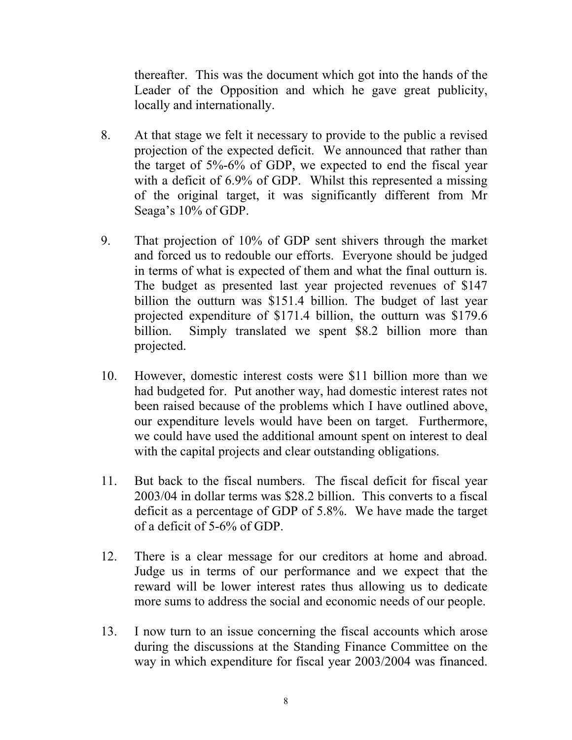thereafter. This was the document which got into the hands of the Leader of the Opposition and which he gave great publicity, locally and internationally.

- 8. At that stage we felt it necessary to provide to the public a revised projection of the expected deficit. We announced that rather than the target of 5%-6% of GDP, we expected to end the fiscal year with a deficit of 6.9% of GDP. Whilst this represented a missing of the original target, it was significantly different from Mr Seaga's 10% of GDP.
- 9. That projection of 10% of GDP sent shivers through the market and forced us to redouble our efforts. Everyone should be judged in terms of what is expected of them and what the final outturn is. The budget as presented last year projected revenues of \$147 billion the outturn was \$151.4 billion. The budget of last year projected expenditure of \$171.4 billion, the outturn was \$179.6 billion. Simply translated we spent \$8.2 billion more than projected.
- 10. However, domestic interest costs were \$11 billion more than we had budgeted for. Put another way, had domestic interest rates not been raised because of the problems which I have outlined above, our expenditure levels would have been on target. Furthermore, we could have used the additional amount spent on interest to deal with the capital projects and clear outstanding obligations.
- 11. But back to the fiscal numbers. The fiscal deficit for fiscal year 2003/04 in dollar terms was \$28.2 billion. This converts to a fiscal deficit as a percentage of GDP of 5.8%. We have made the target of a deficit of 5-6% of GDP.
- 12. There is a clear message for our creditors at home and abroad. Judge us in terms of our performance and we expect that the reward will be lower interest rates thus allowing us to dedicate more sums to address the social and economic needs of our people.
- 13. I now turn to an issue concerning the fiscal accounts which arose during the discussions at the Standing Finance Committee on the way in which expenditure for fiscal year 2003/2004 was financed.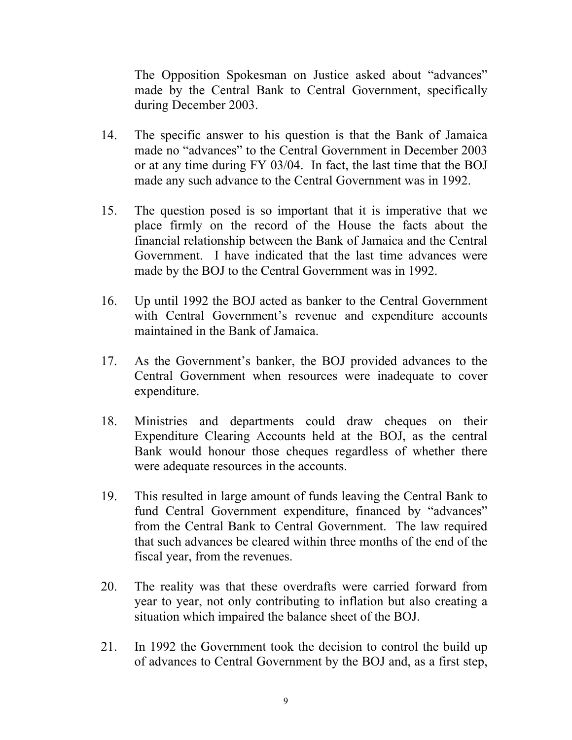The Opposition Spokesman on Justice asked about "advances" made by the Central Bank to Central Government, specifically during December 2003.

- 14. The specific answer to his question is that the Bank of Jamaica made no "advances" to the Central Government in December 2003 or at any time during FY 03/04. In fact, the last time that the BOJ made any such advance to the Central Government was in 1992.
- 15. The question posed is so important that it is imperative that we place firmly on the record of the House the facts about the financial relationship between the Bank of Jamaica and the Central Government. I have indicated that the last time advances were made by the BOJ to the Central Government was in 1992.
- 16. Up until 1992 the BOJ acted as banker to the Central Government with Central Government's revenue and expenditure accounts maintained in the Bank of Jamaica.
- 17. As the Government's banker, the BOJ provided advances to the Central Government when resources were inadequate to cover expenditure.
- 18. Ministries and departments could draw cheques on their Expenditure Clearing Accounts held at the BOJ, as the central Bank would honour those cheques regardless of whether there were adequate resources in the accounts.
- 19. This resulted in large amount of funds leaving the Central Bank to fund Central Government expenditure, financed by "advances" from the Central Bank to Central Government. The law required that such advances be cleared within three months of the end of the fiscal year, from the revenues.
- 20. The reality was that these overdrafts were carried forward from year to year, not only contributing to inflation but also creating a situation which impaired the balance sheet of the BOJ.
- 21. In 1992 the Government took the decision to control the build up of advances to Central Government by the BOJ and, as a first step,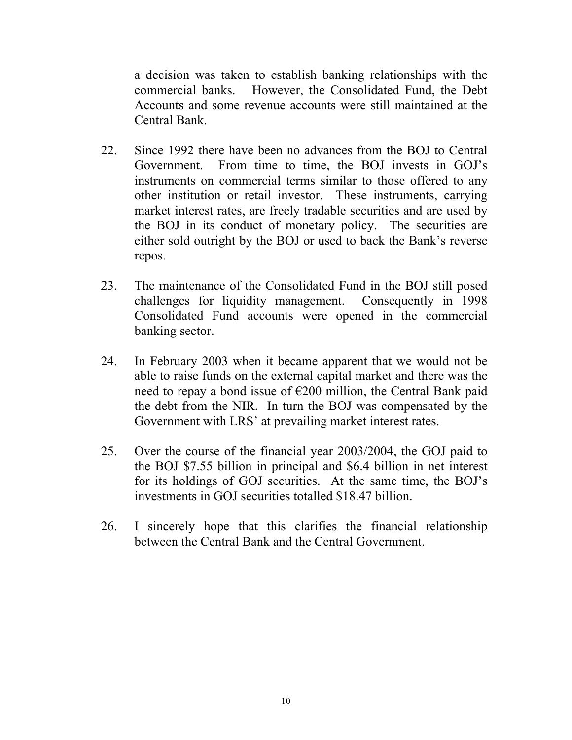a decision was taken to establish banking relationships with the commercial banks. However, the Consolidated Fund, the Debt Accounts and some revenue accounts were still maintained at the Central Bank.

- 22. Since 1992 there have been no advances from the BOJ to Central Government. From time to time, the BOJ invests in GOJ's instruments on commercial terms similar to those offered to any other institution or retail investor. These instruments, carrying market interest rates, are freely tradable securities and are used by the BOJ in its conduct of monetary policy. The securities are either sold outright by the BOJ or used to back the Bank's reverse repos.
- 23. The maintenance of the Consolidated Fund in the BOJ still posed challenges for liquidity management. Consequently in 1998 Consolidated Fund accounts were opened in the commercial banking sector.
- 24. In February 2003 when it became apparent that we would not be able to raise funds on the external capital market and there was the need to repay a bond issue of €200 million, the Central Bank paid the debt from the NIR. In turn the BOJ was compensated by the Government with LRS' at prevailing market interest rates.
- 25. Over the course of the financial year 2003/2004, the GOJ paid to the BOJ \$7.55 billion in principal and \$6.4 billion in net interest for its holdings of GOJ securities. At the same time, the BOJ's investments in GOJ securities totalled \$18.47 billion.
- 26. I sincerely hope that this clarifies the financial relationship between the Central Bank and the Central Government.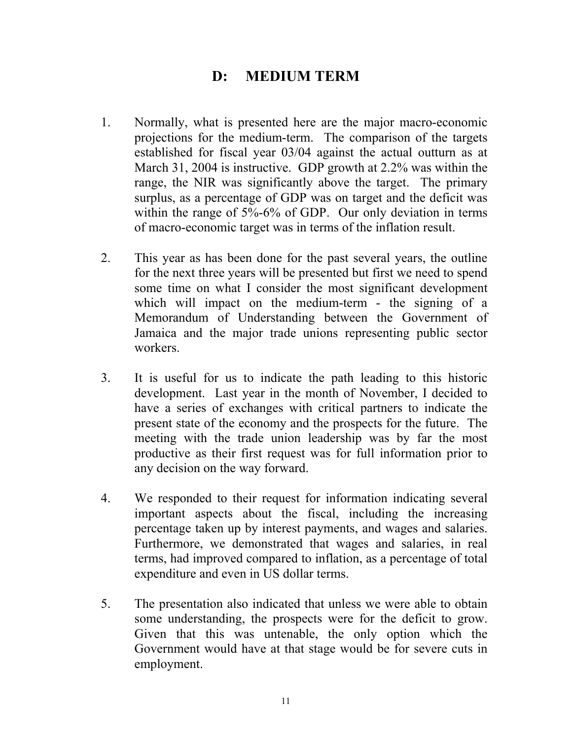## **D: MEDIUM TERM**

- 1. Normally, what is presented here are the major macro-economic projections for the medium-term. The comparison of the targets established for fiscal year 03/04 against the actual outturn as at March 31, 2004 is instructive. GDP growth at 2.2% was within the range, the NIR was significantly above the target. The primary surplus, as a percentage of GDP was on target and the deficit was within the range of 5%-6% of GDP. Our only deviation in terms of macro-economic target was in terms of the inflation result.
- 2. This year as has been done for the past several years, the outline for the next three years will be presented but first we need to spend some time on what I consider the most significant development which will impact on the medium-term - the signing of a Memorandum of Understanding between the Government of Jamaica and the major trade unions representing public sector workers.
- 3. It is useful for us to indicate the path leading to this historic development. Last year in the month of November, I decided to have a series of exchanges with critical partners to indicate the present state of the economy and the prospects for the future. The meeting with the trade union leadership was by far the most productive as their first request was for full information prior to any decision on the way forward.
- 4. We responded to their request for information indicating several important aspects about the fiscal, including the increasing percentage taken up by interest payments, and wages and salaries. Furthermore, we demonstrated that wages and salaries, in real terms, had improved compared to inflation, as a percentage of total expenditure and even in US dollar terms.
- 5. The presentation also indicated that unless we were able to obtain some understanding, the prospects were for the deficit to grow. Given that this was untenable, the only option which the Government would have at that stage would be for severe cuts in employment.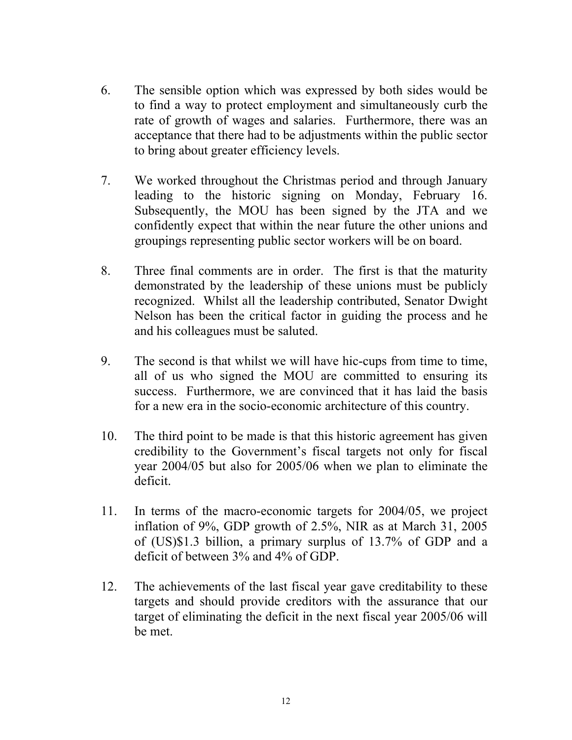- 6. The sensible option which was expressed by both sides would be to find a way to protect employment and simultaneously curb the rate of growth of wages and salaries. Furthermore, there was an acceptance that there had to be adjustments within the public sector to bring about greater efficiency levels.
- 7. We worked throughout the Christmas period and through January leading to the historic signing on Monday, February 16. Subsequently, the MOU has been signed by the JTA and we confidently expect that within the near future the other unions and groupings representing public sector workers will be on board.
- 8. Three final comments are in order. The first is that the maturity demonstrated by the leadership of these unions must be publicly recognized. Whilst all the leadership contributed, Senator Dwight Nelson has been the critical factor in guiding the process and he and his colleagues must be saluted.
- 9. The second is that whilst we will have hic-cups from time to time, all of us who signed the MOU are committed to ensuring its success. Furthermore, we are convinced that it has laid the basis for a new era in the socio-economic architecture of this country.
- 10. The third point to be made is that this historic agreement has given credibility to the Government's fiscal targets not only for fiscal year 2004/05 but also for 2005/06 when we plan to eliminate the deficit.
- 11. In terms of the macro-economic targets for 2004/05, we project inflation of 9%, GDP growth of 2.5%, NIR as at March 31, 2005 of (US)\$1.3 billion, a primary surplus of 13.7% of GDP and a deficit of between 3% and 4% of GDP.
- 12. The achievements of the last fiscal year gave creditability to these targets and should provide creditors with the assurance that our target of eliminating the deficit in the next fiscal year 2005/06 will be met.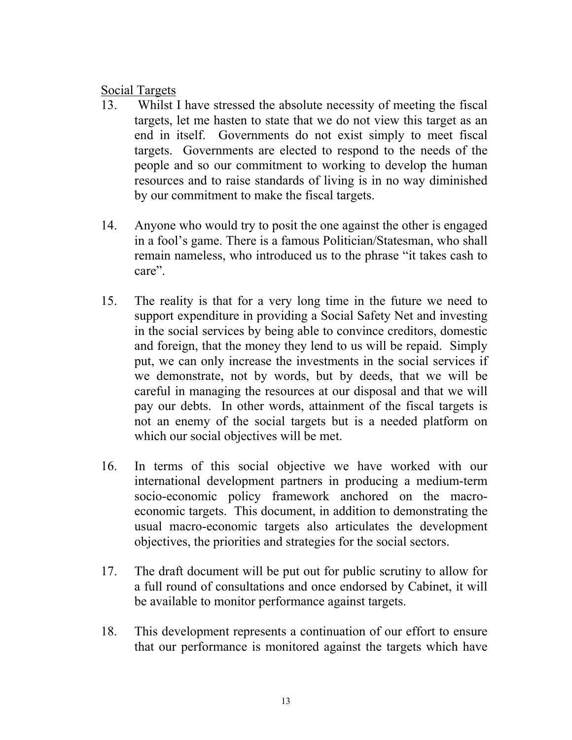### Social Targets

- 13. Whilst I have stressed the absolute necessity of meeting the fiscal targets, let me hasten to state that we do not view this target as an end in itself. Governments do not exist simply to meet fiscal targets. Governments are elected to respond to the needs of the people and so our commitment to working to develop the human resources and to raise standards of living is in no way diminished by our commitment to make the fiscal targets.
- 14. Anyone who would try to posit the one against the other is engaged in a fool's game. There is a famous Politician/Statesman, who shall remain nameless, who introduced us to the phrase "it takes cash to care".
- 15. The reality is that for a very long time in the future we need to support expenditure in providing a Social Safety Net and investing in the social services by being able to convince creditors, domestic and foreign, that the money they lend to us will be repaid. Simply put, we can only increase the investments in the social services if we demonstrate, not by words, but by deeds, that we will be careful in managing the resources at our disposal and that we will pay our debts. In other words, attainment of the fiscal targets is not an enemy of the social targets but is a needed platform on which our social objectives will be met.
- 16. In terms of this social objective we have worked with our international development partners in producing a medium-term socio-economic policy framework anchored on the macroeconomic targets. This document, in addition to demonstrating the usual macro-economic targets also articulates the development objectives, the priorities and strategies for the social sectors.
- 17. The draft document will be put out for public scrutiny to allow for a full round of consultations and once endorsed by Cabinet, it will be available to monitor performance against targets.
- 18. This development represents a continuation of our effort to ensure that our performance is monitored against the targets which have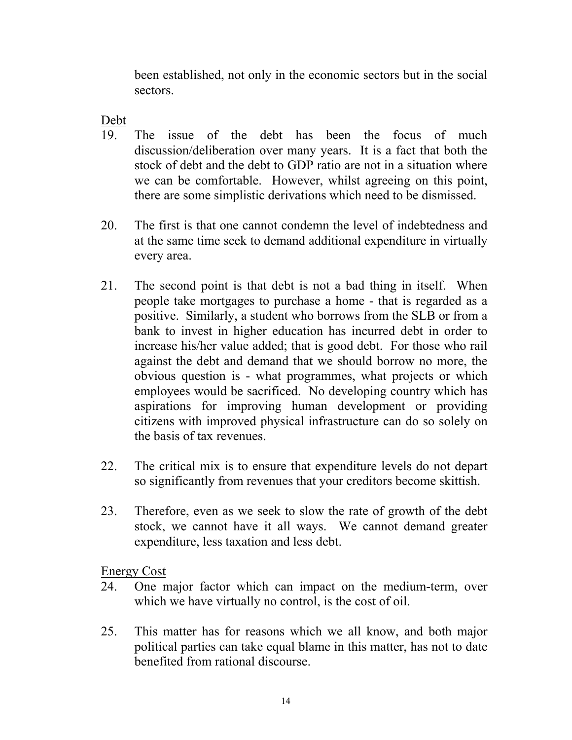been established, not only in the economic sectors but in the social sectors.

### Debt

- 19. The issue of the debt has been the focus of much discussion/deliberation over many years. It is a fact that both the stock of debt and the debt to GDP ratio are not in a situation where we can be comfortable. However, whilst agreeing on this point, there are some simplistic derivations which need to be dismissed.
- 20. The first is that one cannot condemn the level of indebtedness and at the same time seek to demand additional expenditure in virtually every area.
- 21. The second point is that debt is not a bad thing in itself. When people take mortgages to purchase a home - that is regarded as a positive. Similarly, a student who borrows from the SLB or from a bank to invest in higher education has incurred debt in order to increase his/her value added; that is good debt. For those who rail against the debt and demand that we should borrow no more, the obvious question is - what programmes, what projects or which employees would be sacrificed. No developing country which has aspirations for improving human development or providing citizens with improved physical infrastructure can do so solely on the basis of tax revenues.
- 22. The critical mix is to ensure that expenditure levels do not depart so significantly from revenues that your creditors become skittish.
- 23. Therefore, even as we seek to slow the rate of growth of the debt stock, we cannot have it all ways. We cannot demand greater expenditure, less taxation and less debt.

Energy Cost

- 24. One major factor which can impact on the medium-term, over which we have virtually no control, is the cost of oil.
- 25. This matter has for reasons which we all know, and both major political parties can take equal blame in this matter, has not to date benefited from rational discourse.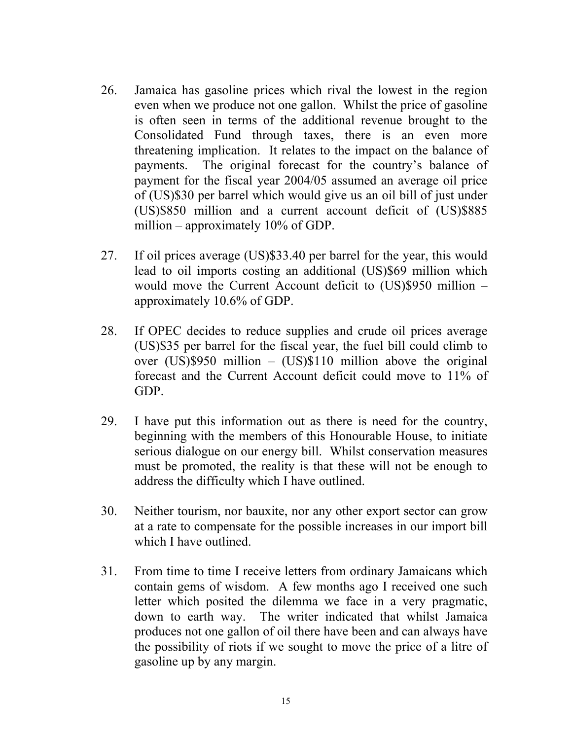- 26. Jamaica has gasoline prices which rival the lowest in the region even when we produce not one gallon. Whilst the price of gasoline is often seen in terms of the additional revenue brought to the Consolidated Fund through taxes, there is an even more threatening implication. It relates to the impact on the balance of payments. The original forecast for the country's balance of payment for the fiscal year 2004/05 assumed an average oil price of (US)\$30 per barrel which would give us an oil bill of just under (US)\$850 million and a current account deficit of (US)\$885 million – approximately 10% of GDP.
- 27. If oil prices average (US)\$33.40 per barrel for the year, this would lead to oil imports costing an additional (US)\$69 million which would move the Current Account deficit to (US)\$950 million – approximately 10.6% of GDP.
- 28. If OPEC decides to reduce supplies and crude oil prices average (US)\$35 per barrel for the fiscal year, the fuel bill could climb to over (US)\$950 million – (US)\$110 million above the original forecast and the Current Account deficit could move to 11% of GDP.
- 29. I have put this information out as there is need for the country, beginning with the members of this Honourable House, to initiate serious dialogue on our energy bill. Whilst conservation measures must be promoted, the reality is that these will not be enough to address the difficulty which I have outlined.
- 30. Neither tourism, nor bauxite, nor any other export sector can grow at a rate to compensate for the possible increases in our import bill which I have outlined.
- 31. From time to time I receive letters from ordinary Jamaicans which contain gems of wisdom. A few months ago I received one such letter which posited the dilemma we face in a very pragmatic, down to earth way. The writer indicated that whilst Jamaica produces not one gallon of oil there have been and can always have the possibility of riots if we sought to move the price of a litre of gasoline up by any margin.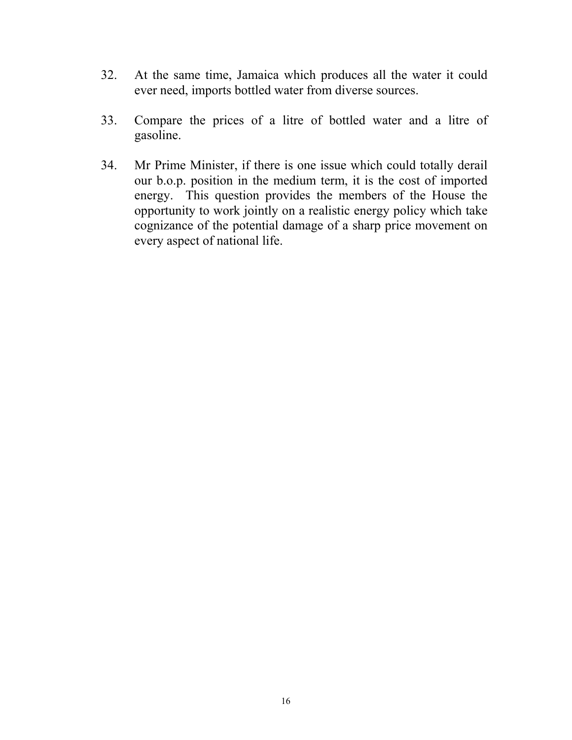- 32. At the same time, Jamaica which produces all the water it could ever need, imports bottled water from diverse sources.
- 33. Compare the prices of a litre of bottled water and a litre of gasoline.
- 34. Mr Prime Minister, if there is one issue which could totally derail our b.o.p. position in the medium term, it is the cost of imported energy. This question provides the members of the House the opportunity to work jointly on a realistic energy policy which take cognizance of the potential damage of a sharp price movement on every aspect of national life.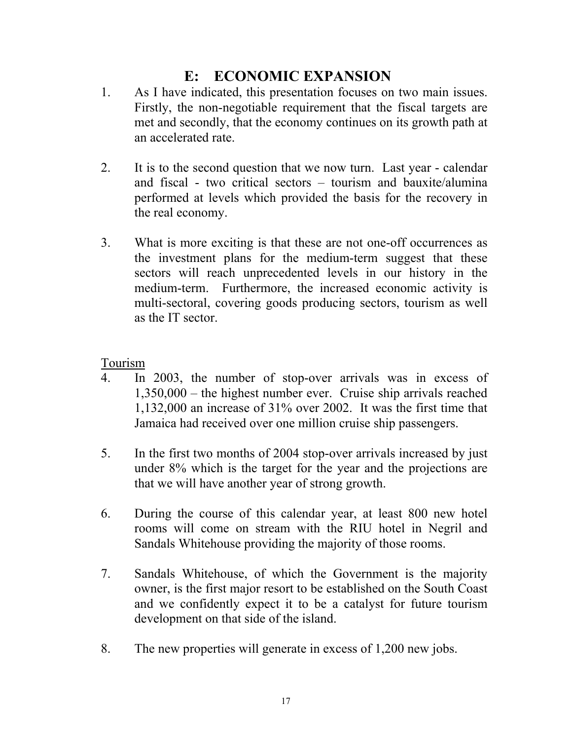# **E: ECONOMIC EXPANSION**

- 1. As I have indicated, this presentation focuses on two main issues. Firstly, the non-negotiable requirement that the fiscal targets are met and secondly, that the economy continues on its growth path at an accelerated rate.
- 2. It is to the second question that we now turn. Last year calendar and fiscal - two critical sectors – tourism and bauxite/alumina performed at levels which provided the basis for the recovery in the real economy.
- 3. What is more exciting is that these are not one-off occurrences as the investment plans for the medium-term suggest that these sectors will reach unprecedented levels in our history in the medium-term. Furthermore, the increased economic activity is multi-sectoral, covering goods producing sectors, tourism as well as the IT sector.

Tourism

- 4. In 2003, the number of stop-over arrivals was in excess of 1,350,000 – the highest number ever. Cruise ship arrivals reached 1,132,000 an increase of 31% over 2002. It was the first time that Jamaica had received over one million cruise ship passengers.
- 5. In the first two months of 2004 stop-over arrivals increased by just under 8% which is the target for the year and the projections are that we will have another year of strong growth.
- 6. During the course of this calendar year, at least 800 new hotel rooms will come on stream with the RIU hotel in Negril and Sandals Whitehouse providing the majority of those rooms.
- 7. Sandals Whitehouse, of which the Government is the majority owner, is the first major resort to be established on the South Coast and we confidently expect it to be a catalyst for future tourism development on that side of the island.
- 8. The new properties will generate in excess of 1,200 new jobs.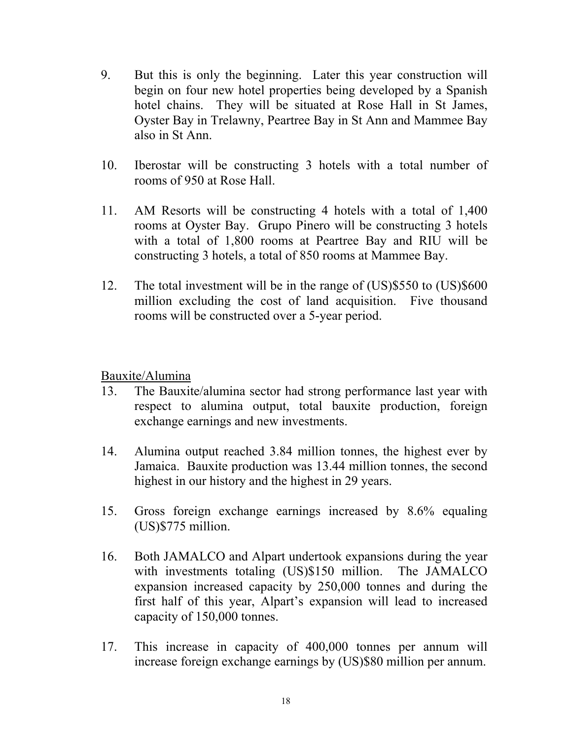- 9. But this is only the beginning. Later this year construction will begin on four new hotel properties being developed by a Spanish hotel chains. They will be situated at Rose Hall in St James, Oyster Bay in Trelawny, Peartree Bay in St Ann and Mammee Bay also in St Ann.
- 10. Iberostar will be constructing 3 hotels with a total number of rooms of 950 at Rose Hall.
- 11. AM Resorts will be constructing 4 hotels with a total of 1,400 rooms at Oyster Bay. Grupo Pinero will be constructing 3 hotels with a total of 1,800 rooms at Peartree Bay and RIU will be constructing 3 hotels, a total of 850 rooms at Mammee Bay.
- 12. The total investment will be in the range of (US)\$550 to (US)\$600 million excluding the cost of land acquisition. Five thousand rooms will be constructed over a 5-year period.

#### Bauxite/Alumina

- 13. The Bauxite/alumina sector had strong performance last year with respect to alumina output, total bauxite production, foreign exchange earnings and new investments.
- 14. Alumina output reached 3.84 million tonnes, the highest ever by Jamaica. Bauxite production was 13.44 million tonnes, the second highest in our history and the highest in 29 years.
- 15. Gross foreign exchange earnings increased by 8.6% equaling (US)\$775 million.
- 16. Both JAMALCO and Alpart undertook expansions during the year with investments totaling (US)\$150 million. The JAMALCO expansion increased capacity by 250,000 tonnes and during the first half of this year, Alpart's expansion will lead to increased capacity of 150,000 tonnes.
- 17. This increase in capacity of 400,000 tonnes per annum will increase foreign exchange earnings by (US)\$80 million per annum.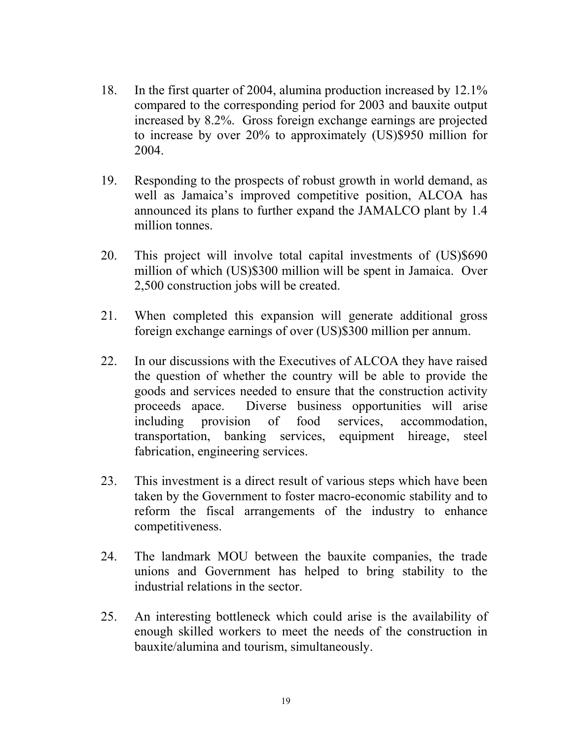- 18. In the first quarter of 2004, alumina production increased by 12.1% compared to the corresponding period for 2003 and bauxite output increased by 8.2%. Gross foreign exchange earnings are projected to increase by over 20% to approximately (US)\$950 million for 2004.
- 19. Responding to the prospects of robust growth in world demand, as well as Jamaica's improved competitive position, ALCOA has announced its plans to further expand the JAMALCO plant by 1.4 million tonnes.
- 20. This project will involve total capital investments of (US)\$690 million of which (US)\$300 million will be spent in Jamaica. Over 2,500 construction jobs will be created.
- 21. When completed this expansion will generate additional gross foreign exchange earnings of over (US)\$300 million per annum.
- 22. In our discussions with the Executives of ALCOA they have raised the question of whether the country will be able to provide the goods and services needed to ensure that the construction activity proceeds apace. Diverse business opportunities will arise including provision of food services, accommodation, transportation, banking services, equipment hireage, steel fabrication, engineering services.
- 23. This investment is a direct result of various steps which have been taken by the Government to foster macro-economic stability and to reform the fiscal arrangements of the industry to enhance competitiveness.
- 24. The landmark MOU between the bauxite companies, the trade unions and Government has helped to bring stability to the industrial relations in the sector.
- 25. An interesting bottleneck which could arise is the availability of enough skilled workers to meet the needs of the construction in bauxite/alumina and tourism, simultaneously.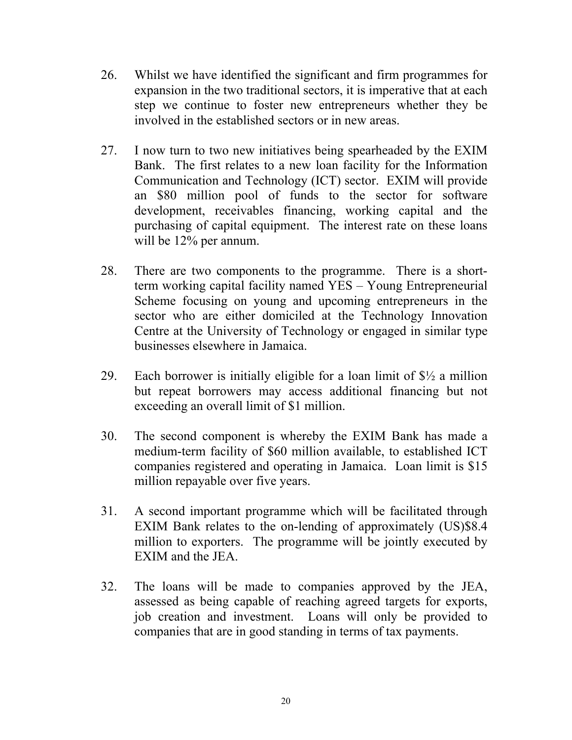- 26. Whilst we have identified the significant and firm programmes for expansion in the two traditional sectors, it is imperative that at each step we continue to foster new entrepreneurs whether they be involved in the established sectors or in new areas.
- 27. I now turn to two new initiatives being spearheaded by the EXIM Bank. The first relates to a new loan facility for the Information Communication and Technology (ICT) sector. EXIM will provide an \$80 million pool of funds to the sector for software development, receivables financing, working capital and the purchasing of capital equipment. The interest rate on these loans will be 12% per annum.
- 28. There are two components to the programme. There is a shortterm working capital facility named YES – Young Entrepreneurial Scheme focusing on young and upcoming entrepreneurs in the sector who are either domiciled at the Technology Innovation Centre at the University of Technology or engaged in similar type businesses elsewhere in Jamaica.
- 29. Each borrower is initially eligible for a loan limit of  $\frac{1}{2}$  a million but repeat borrowers may access additional financing but not exceeding an overall limit of \$1 million.
- 30. The second component is whereby the EXIM Bank has made a medium-term facility of \$60 million available, to established ICT companies registered and operating in Jamaica. Loan limit is \$15 million repayable over five years.
- 31. A second important programme which will be facilitated through EXIM Bank relates to the on-lending of approximately (US)\$8.4 million to exporters. The programme will be jointly executed by EXIM and the JEA.
- 32. The loans will be made to companies approved by the JEA, assessed as being capable of reaching agreed targets for exports, job creation and investment. Loans will only be provided to companies that are in good standing in terms of tax payments.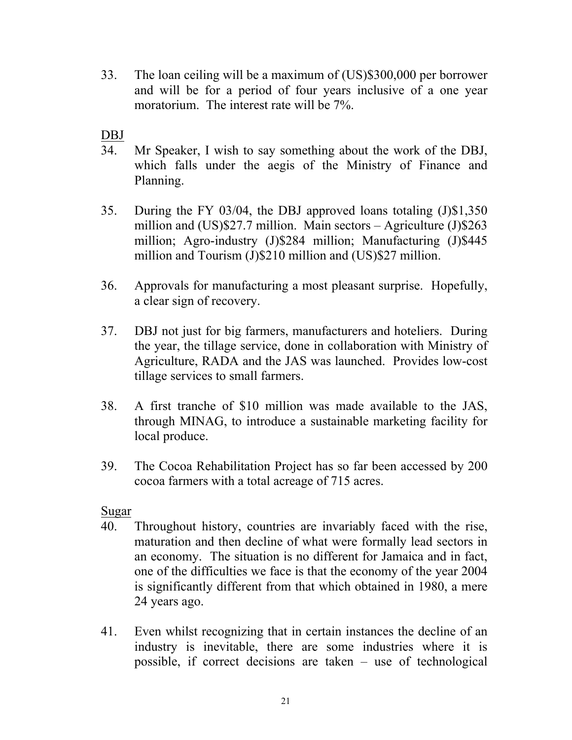33. The loan ceiling will be a maximum of (US)\$300,000 per borrower and will be for a period of four years inclusive of a one year moratorium. The interest rate will be 7%.

DBJ

- 34. Mr Speaker, I wish to say something about the work of the DBJ, which falls under the aegis of the Ministry of Finance and Planning.
- 35. During the FY 03/04, the DBJ approved loans totaling (J)\$1,350 million and (US)\$27.7 million. Main sectors – Agriculture (J)\$263 million; Agro-industry (J)\$284 million; Manufacturing (J)\$445 million and Tourism (J)\$210 million and (US)\$27 million.
- 36. Approvals for manufacturing a most pleasant surprise. Hopefully, a clear sign of recovery.
- 37. DBJ not just for big farmers, manufacturers and hoteliers. During the year, the tillage service, done in collaboration with Ministry of Agriculture, RADA and the JAS was launched. Provides low-cost tillage services to small farmers.
- 38. A first tranche of \$10 million was made available to the JAS, through MINAG, to introduce a sustainable marketing facility for local produce.
- 39. The Cocoa Rehabilitation Project has so far been accessed by 200 cocoa farmers with a total acreage of 715 acres.

Sugar

- 40. Throughout history, countries are invariably faced with the rise, maturation and then decline of what were formally lead sectors in an economy. The situation is no different for Jamaica and in fact, one of the difficulties we face is that the economy of the year 2004 is significantly different from that which obtained in 1980, a mere 24 years ago.
- 41. Even whilst recognizing that in certain instances the decline of an industry is inevitable, there are some industries where it is possible, if correct decisions are taken – use of technological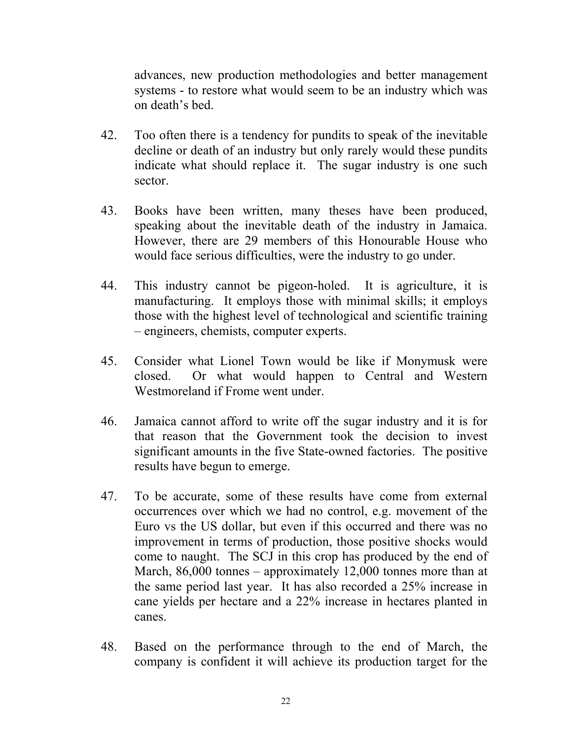advances, new production methodologies and better management systems - to restore what would seem to be an industry which was on death's bed.

- 42. Too often there is a tendency for pundits to speak of the inevitable decline or death of an industry but only rarely would these pundits indicate what should replace it. The sugar industry is one such sector.
- 43. Books have been written, many theses have been produced, speaking about the inevitable death of the industry in Jamaica. However, there are 29 members of this Honourable House who would face serious difficulties, were the industry to go under.
- 44. This industry cannot be pigeon-holed. It is agriculture, it is manufacturing. It employs those with minimal skills; it employs those with the highest level of technological and scientific training – engineers, chemists, computer experts.
- 45. Consider what Lionel Town would be like if Monymusk were closed. Or what would happen to Central and Western Westmoreland if Frome went under.
- 46. Jamaica cannot afford to write off the sugar industry and it is for that reason that the Government took the decision to invest significant amounts in the five State-owned factories. The positive results have begun to emerge.
- 47. To be accurate, some of these results have come from external occurrences over which we had no control, e.g. movement of the Euro vs the US dollar, but even if this occurred and there was no improvement in terms of production, those positive shocks would come to naught. The SCJ in this crop has produced by the end of March, 86,000 tonnes – approximately 12,000 tonnes more than at the same period last year. It has also recorded a 25% increase in cane yields per hectare and a 22% increase in hectares planted in canes.
- 48. Based on the performance through to the end of March, the company is confident it will achieve its production target for the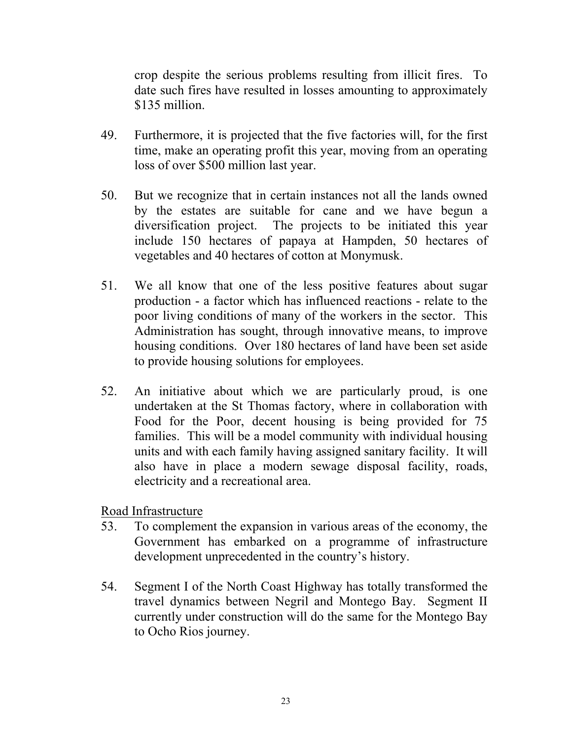crop despite the serious problems resulting from illicit fires. To date such fires have resulted in losses amounting to approximately \$135 million.

- 49. Furthermore, it is projected that the five factories will, for the first time, make an operating profit this year, moving from an operating loss of over \$500 million last year.
- 50. But we recognize that in certain instances not all the lands owned by the estates are suitable for cane and we have begun a diversification project. The projects to be initiated this year include 150 hectares of papaya at Hampden, 50 hectares of vegetables and 40 hectares of cotton at Monymusk.
- 51. We all know that one of the less positive features about sugar production - a factor which has influenced reactions - relate to the poor living conditions of many of the workers in the sector. This Administration has sought, through innovative means, to improve housing conditions. Over 180 hectares of land have been set aside to provide housing solutions for employees.
- 52. An initiative about which we are particularly proud, is one undertaken at the St Thomas factory, where in collaboration with Food for the Poor, decent housing is being provided for 75 families. This will be a model community with individual housing units and with each family having assigned sanitary facility. It will also have in place a modern sewage disposal facility, roads, electricity and a recreational area.

Road Infrastructure

- 53. To complement the expansion in various areas of the economy, the Government has embarked on a programme of infrastructure development unprecedented in the country's history.
- 54. Segment I of the North Coast Highway has totally transformed the travel dynamics between Negril and Montego Bay. Segment II currently under construction will do the same for the Montego Bay to Ocho Rios journey.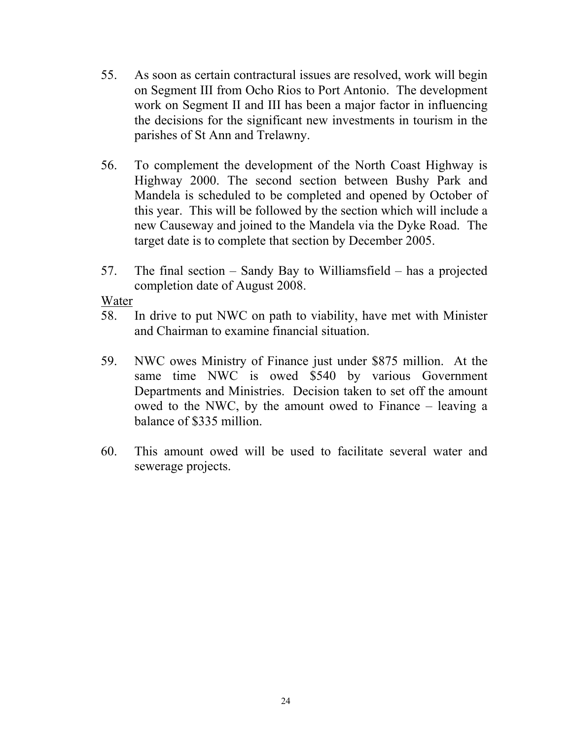- 55. As soon as certain contractural issues are resolved, work will begin on Segment III from Ocho Rios to Port Antonio. The development work on Segment II and III has been a major factor in influencing the decisions for the significant new investments in tourism in the parishes of St Ann and Trelawny.
- 56. To complement the development of the North Coast Highway is Highway 2000. The second section between Bushy Park and Mandela is scheduled to be completed and opened by October of this year. This will be followed by the section which will include a new Causeway and joined to the Mandela via the Dyke Road. The target date is to complete that section by December 2005.
- 57. The final section Sandy Bay to Williamsfield has a projected completion date of August 2008.

Water

- 58. In drive to put NWC on path to viability, have met with Minister and Chairman to examine financial situation.
- 59. NWC owes Ministry of Finance just under \$875 million. At the same time NWC is owed \$540 by various Government Departments and Ministries. Decision taken to set off the amount owed to the NWC, by the amount owed to Finance – leaving a balance of \$335 million.
- 60. This amount owed will be used to facilitate several water and sewerage projects.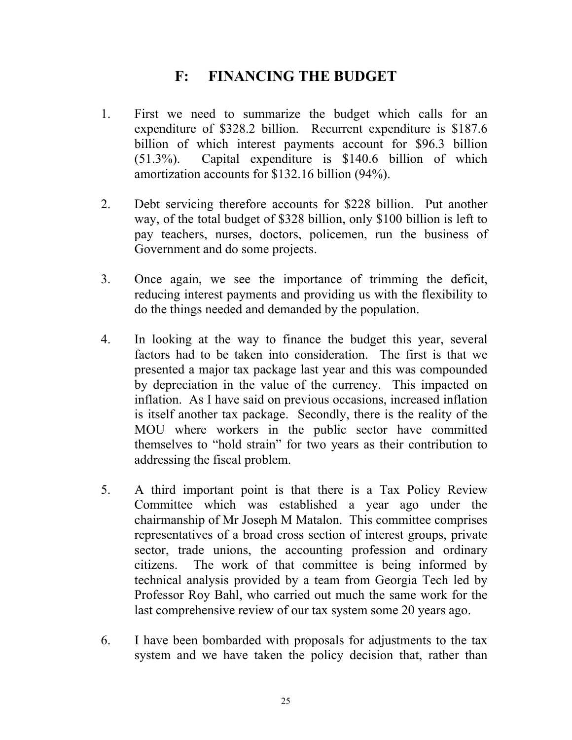### **F: FINANCING THE BUDGET**

- 1. First we need to summarize the budget which calls for an expenditure of \$328.2 billion. Recurrent expenditure is \$187.6 billion of which interest payments account for \$96.3 billion (51.3%). Capital expenditure is \$140.6 billion of which amortization accounts for \$132.16 billion (94%).
- 2. Debt servicing therefore accounts for \$228 billion. Put another way, of the total budget of \$328 billion, only \$100 billion is left to pay teachers, nurses, doctors, policemen, run the business of Government and do some projects.
- 3. Once again, we see the importance of trimming the deficit, reducing interest payments and providing us with the flexibility to do the things needed and demanded by the population.
- 4. In looking at the way to finance the budget this year, several factors had to be taken into consideration. The first is that we presented a major tax package last year and this was compounded by depreciation in the value of the currency. This impacted on inflation. As I have said on previous occasions, increased inflation is itself another tax package. Secondly, there is the reality of the MOU where workers in the public sector have committed themselves to "hold strain" for two years as their contribution to addressing the fiscal problem.
- 5. A third important point is that there is a Tax Policy Review Committee which was established a year ago under the chairmanship of Mr Joseph M Matalon. This committee comprises representatives of a broad cross section of interest groups, private sector, trade unions, the accounting profession and ordinary citizens. The work of that committee is being informed by technical analysis provided by a team from Georgia Tech led by Professor Roy Bahl, who carried out much the same work for the last comprehensive review of our tax system some 20 years ago.
- 6. I have been bombarded with proposals for adjustments to the tax system and we have taken the policy decision that, rather than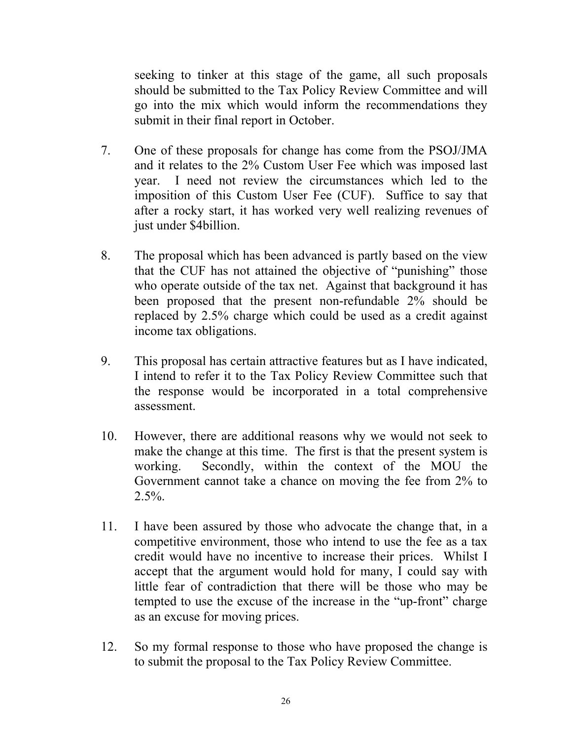seeking to tinker at this stage of the game, all such proposals should be submitted to the Tax Policy Review Committee and will go into the mix which would inform the recommendations they submit in their final report in October.

- 7. One of these proposals for change has come from the PSOJ/JMA and it relates to the 2% Custom User Fee which was imposed last year. I need not review the circumstances which led to the imposition of this Custom User Fee (CUF). Suffice to say that after a rocky start, it has worked very well realizing revenues of just under \$4billion.
- 8. The proposal which has been advanced is partly based on the view that the CUF has not attained the objective of "punishing" those who operate outside of the tax net. Against that background it has been proposed that the present non-refundable 2% should be replaced by 2.5% charge which could be used as a credit against income tax obligations.
- 9. This proposal has certain attractive features but as I have indicated, I intend to refer it to the Tax Policy Review Committee such that the response would be incorporated in a total comprehensive assessment.
- 10. However, there are additional reasons why we would not seek to make the change at this time. The first is that the present system is working. Secondly, within the context of the MOU the Government cannot take a chance on moving the fee from 2% to  $2.5\%$ .
- 11. I have been assured by those who advocate the change that, in a competitive environment, those who intend to use the fee as a tax credit would have no incentive to increase their prices. Whilst I accept that the argument would hold for many, I could say with little fear of contradiction that there will be those who may be tempted to use the excuse of the increase in the "up-front" charge as an excuse for moving prices.
- 12. So my formal response to those who have proposed the change is to submit the proposal to the Tax Policy Review Committee.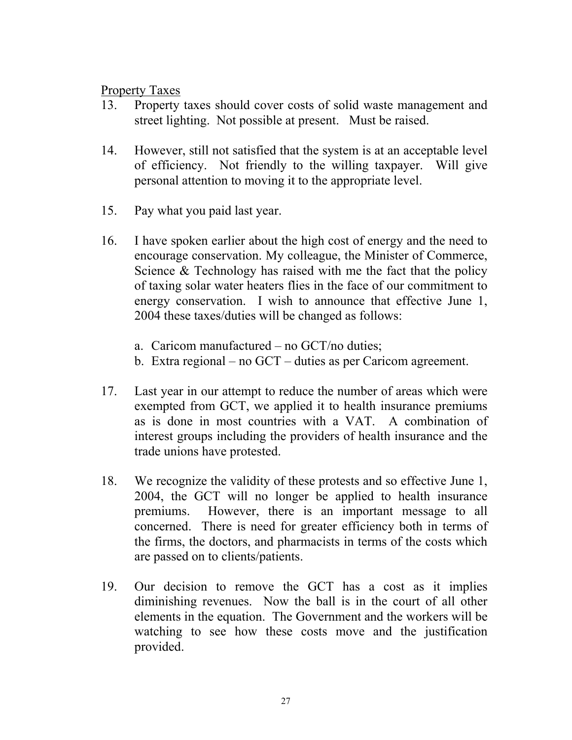Property Taxes

- 13. Property taxes should cover costs of solid waste management and street lighting. Not possible at present. Must be raised.
- 14. However, still not satisfied that the system is at an acceptable level of efficiency. Not friendly to the willing taxpayer. Will give personal attention to moving it to the appropriate level.
- 15. Pay what you paid last year.
- 16. I have spoken earlier about the high cost of energy and the need to encourage conservation. My colleague, the Minister of Commerce, Science & Technology has raised with me the fact that the policy of taxing solar water heaters flies in the face of our commitment to energy conservation. I wish to announce that effective June 1, 2004 these taxes/duties will be changed as follows:
	- a. Caricom manufactured no GCT/no duties;
	- b. Extra regional no GCT duties as per Caricom agreement.
- 17. Last year in our attempt to reduce the number of areas which were exempted from GCT, we applied it to health insurance premiums as is done in most countries with a VAT. A combination of interest groups including the providers of health insurance and the trade unions have protested.
- 18. We recognize the validity of these protests and so effective June 1, 2004, the GCT will no longer be applied to health insurance premiums. However, there is an important message to all concerned. There is need for greater efficiency both in terms of the firms, the doctors, and pharmacists in terms of the costs which are passed on to clients/patients.
- 19. Our decision to remove the GCT has a cost as it implies diminishing revenues. Now the ball is in the court of all other elements in the equation. The Government and the workers will be watching to see how these costs move and the justification provided.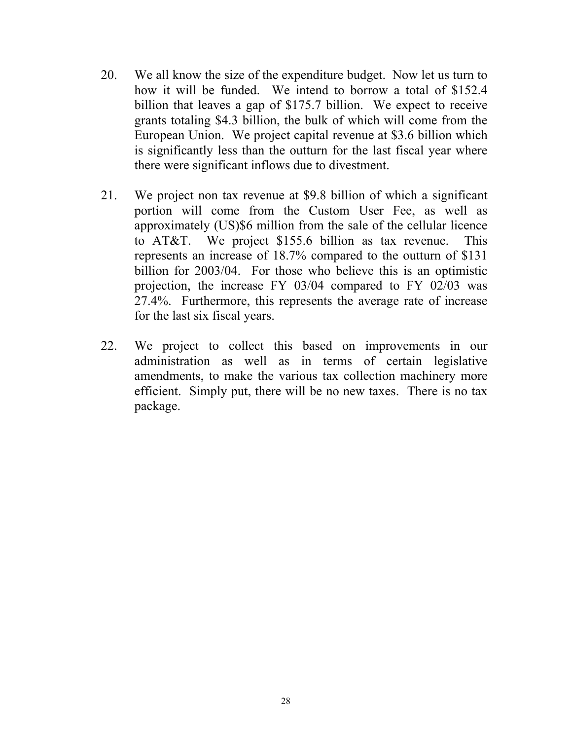- 20. We all know the size of the expenditure budget. Now let us turn to how it will be funded. We intend to borrow a total of \$152.4 billion that leaves a gap of \$175.7 billion. We expect to receive grants totaling \$4.3 billion, the bulk of which will come from the European Union. We project capital revenue at \$3.6 billion which is significantly less than the outturn for the last fiscal year where there were significant inflows due to divestment.
- 21. We project non tax revenue at \$9.8 billion of which a significant portion will come from the Custom User Fee, as well as approximately (US)\$6 million from the sale of the cellular licence to AT&T. We project \$155.6 billion as tax revenue. This represents an increase of 18.7% compared to the outturn of \$131 billion for 2003/04. For those who believe this is an optimistic projection, the increase FY 03/04 compared to FY 02/03 was 27.4%. Furthermore, this represents the average rate of increase for the last six fiscal years.
- 22. We project to collect this based on improvements in our administration as well as in terms of certain legislative amendments, to make the various tax collection machinery more efficient. Simply put, there will be no new taxes. There is no tax package.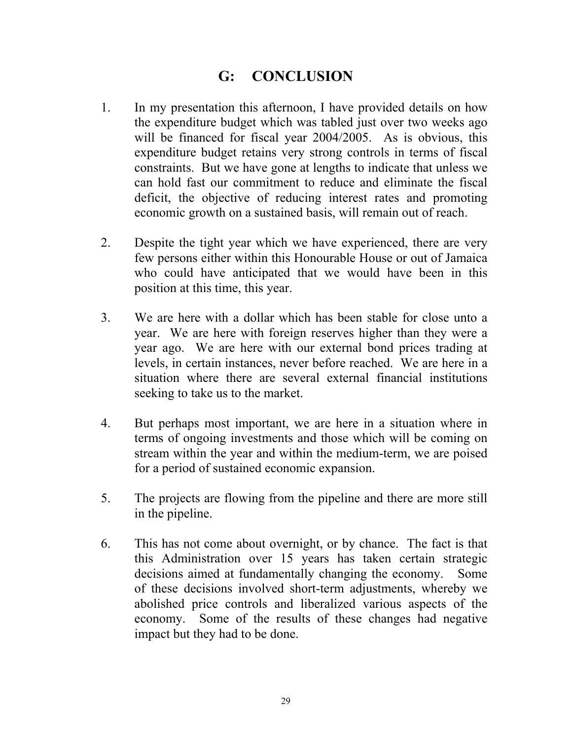## **G: CONCLUSION**

- 1. In my presentation this afternoon, I have provided details on how the expenditure budget which was tabled just over two weeks ago will be financed for fiscal year 2004/2005. As is obvious, this expenditure budget retains very strong controls in terms of fiscal constraints. But we have gone at lengths to indicate that unless we can hold fast our commitment to reduce and eliminate the fiscal deficit, the objective of reducing interest rates and promoting economic growth on a sustained basis, will remain out of reach.
- 2. Despite the tight year which we have experienced, there are very few persons either within this Honourable House or out of Jamaica who could have anticipated that we would have been in this position at this time, this year.
- 3. We are here with a dollar which has been stable for close unto a year. We are here with foreign reserves higher than they were a year ago. We are here with our external bond prices trading at levels, in certain instances, never before reached. We are here in a situation where there are several external financial institutions seeking to take us to the market.
- 4. But perhaps most important, we are here in a situation where in terms of ongoing investments and those which will be coming on stream within the year and within the medium-term, we are poised for a period of sustained economic expansion.
- 5. The projects are flowing from the pipeline and there are more still in the pipeline.
- 6. This has not come about overnight, or by chance. The fact is that this Administration over 15 years has taken certain strategic decisions aimed at fundamentally changing the economy. Some of these decisions involved short-term adjustments, whereby we abolished price controls and liberalized various aspects of the economy. Some of the results of these changes had negative impact but they had to be done.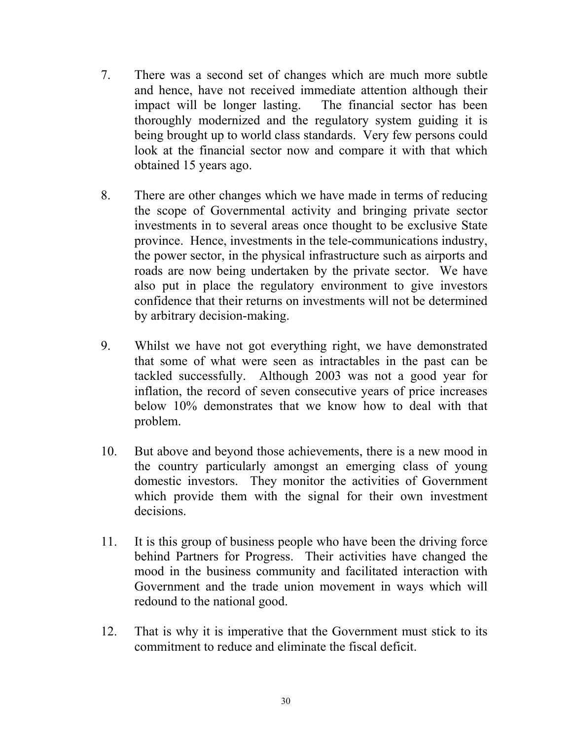- 7. There was a second set of changes which are much more subtle and hence, have not received immediate attention although their impact will be longer lasting. The financial sector has been thoroughly modernized and the regulatory system guiding it is being brought up to world class standards. Very few persons could look at the financial sector now and compare it with that which obtained 15 years ago.
- 8. There are other changes which we have made in terms of reducing the scope of Governmental activity and bringing private sector investments in to several areas once thought to be exclusive State province. Hence, investments in the tele-communications industry, the power sector, in the physical infrastructure such as airports and roads are now being undertaken by the private sector. We have also put in place the regulatory environment to give investors confidence that their returns on investments will not be determined by arbitrary decision-making.
- 9. Whilst we have not got everything right, we have demonstrated that some of what were seen as intractables in the past can be tackled successfully. Although 2003 was not a good year for inflation, the record of seven consecutive years of price increases below 10% demonstrates that we know how to deal with that problem.
- 10. But above and beyond those achievements, there is a new mood in the country particularly amongst an emerging class of young domestic investors. They monitor the activities of Government which provide them with the signal for their own investment decisions.
- 11. It is this group of business people who have been the driving force behind Partners for Progress. Their activities have changed the mood in the business community and facilitated interaction with Government and the trade union movement in ways which will redound to the national good.
- 12. That is why it is imperative that the Government must stick to its commitment to reduce and eliminate the fiscal deficit.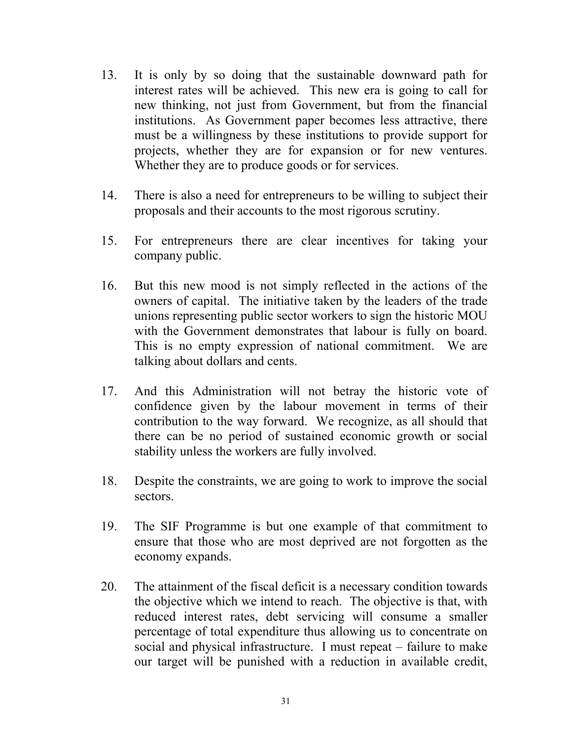- 13. It is only by so doing that the sustainable downward path for interest rates will be achieved. This new era is going to call for new thinking, not just from Government, but from the financial institutions. As Government paper becomes less attractive, there must be a willingness by these institutions to provide support for projects, whether they are for expansion or for new ventures. Whether they are to produce goods or for services.
- 14. There is also a need for entrepreneurs to be willing to subject their proposals and their accounts to the most rigorous scrutiny.
- 15. For entrepreneurs there are clear incentives for taking your company public.
- 16. But this new mood is not simply reflected in the actions of the owners of capital. The initiative taken by the leaders of the trade unions representing public sector workers to sign the historic MOU with the Government demonstrates that labour is fully on board. This is no empty expression of national commitment. We are talking about dollars and cents.
- 17. And this Administration will not betray the historic vote of confidence given by the labour movement in terms of their contribution to the way forward. We recognize, as all should that there can be no period of sustained economic growth or social stability unless the workers are fully involved.
- 18. Despite the constraints, we are going to work to improve the social sectors.
- 19. The SIF Programme is but one example of that commitment to ensure that those who are most deprived are not forgotten as the economy expands.
- 20. The attainment of the fiscal deficit is a necessary condition towards the objective which we intend to reach. The objective is that, with reduced interest rates, debt servicing will consume a smaller percentage of total expenditure thus allowing us to concentrate on social and physical infrastructure. I must repeat – failure to make our target will be punished with a reduction in available credit,